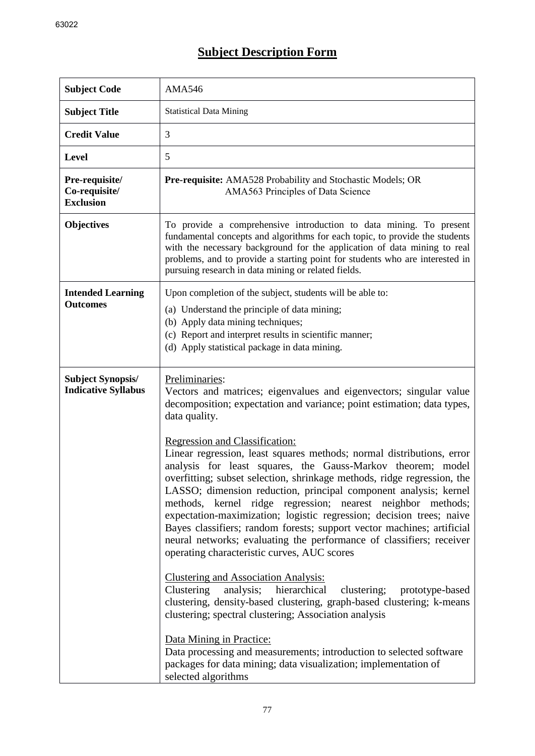## **Subject Description Form**

| <b>Subject Code</b>                                        | <b>AMA546</b>                                                                                                                                                                                                                                                                                                                                                                                                                                                                                                                                                                                                                                                                                                                                                                                                                                                                                                                                                                                                                                                                                                                                                                                                                                                                                             |
|------------------------------------------------------------|-----------------------------------------------------------------------------------------------------------------------------------------------------------------------------------------------------------------------------------------------------------------------------------------------------------------------------------------------------------------------------------------------------------------------------------------------------------------------------------------------------------------------------------------------------------------------------------------------------------------------------------------------------------------------------------------------------------------------------------------------------------------------------------------------------------------------------------------------------------------------------------------------------------------------------------------------------------------------------------------------------------------------------------------------------------------------------------------------------------------------------------------------------------------------------------------------------------------------------------------------------------------------------------------------------------|
| <b>Subject Title</b>                                       | <b>Statistical Data Mining</b>                                                                                                                                                                                                                                                                                                                                                                                                                                                                                                                                                                                                                                                                                                                                                                                                                                                                                                                                                                                                                                                                                                                                                                                                                                                                            |
| <b>Credit Value</b>                                        | 3                                                                                                                                                                                                                                                                                                                                                                                                                                                                                                                                                                                                                                                                                                                                                                                                                                                                                                                                                                                                                                                                                                                                                                                                                                                                                                         |
| <b>Level</b>                                               | 5                                                                                                                                                                                                                                                                                                                                                                                                                                                                                                                                                                                                                                                                                                                                                                                                                                                                                                                                                                                                                                                                                                                                                                                                                                                                                                         |
| <b>Pre-requisite/</b><br>Co-requisite/<br><b>Exclusion</b> | Pre-requisite: AMA528 Probability and Stochastic Models; OR<br>AMA563 Principles of Data Science                                                                                                                                                                                                                                                                                                                                                                                                                                                                                                                                                                                                                                                                                                                                                                                                                                                                                                                                                                                                                                                                                                                                                                                                          |
| <b>Objectives</b>                                          | To provide a comprehensive introduction to data mining. To present<br>fundamental concepts and algorithms for each topic, to provide the students<br>with the necessary background for the application of data mining to real<br>problems, and to provide a starting point for students who are interested in<br>pursuing research in data mining or related fields.                                                                                                                                                                                                                                                                                                                                                                                                                                                                                                                                                                                                                                                                                                                                                                                                                                                                                                                                      |
| <b>Intended Learning</b><br><b>Outcomes</b>                | Upon completion of the subject, students will be able to:<br>(a) Understand the principle of data mining;<br>(b) Apply data mining techniques;<br>(c) Report and interpret results in scientific manner;<br>(d) Apply statistical package in data mining.                                                                                                                                                                                                                                                                                                                                                                                                                                                                                                                                                                                                                                                                                                                                                                                                                                                                                                                                                                                                                                                 |
| <b>Subject Synopsis/</b><br><b>Indicative Syllabus</b>     | Preliminaries:<br>Vectors and matrices; eigenvalues and eigenvectors; singular value<br>decomposition; expectation and variance; point estimation; data types,<br>data quality.<br><b>Regression and Classification:</b><br>Linear regression, least squares methods; normal distributions, error<br>analysis for least squares, the Gauss-Markov theorem; model<br>overfitting; subset selection, shrinkage methods, ridge regression, the<br>LASSO; dimension reduction, principal component analysis; kernel<br>methods, kernel ridge regression; nearest neighbor methods;<br>expectation-maximization; logistic regression; decision trees; naive<br>Bayes classifiers; random forests; support vector machines; artificial<br>neural networks; evaluating the performance of classifiers; receiver<br>operating characteristic curves, AUC scores<br><b>Clustering and Association Analysis:</b><br>Clustering analysis; hierarchical<br>clustering; prototype-based<br>clustering, density-based clustering, graph-based clustering; k-means<br>clustering; spectral clustering; Association analysis<br>Data Mining in Practice:<br>Data processing and measurements; introduction to selected software<br>packages for data mining; data visualization; implementation of<br>selected algorithms |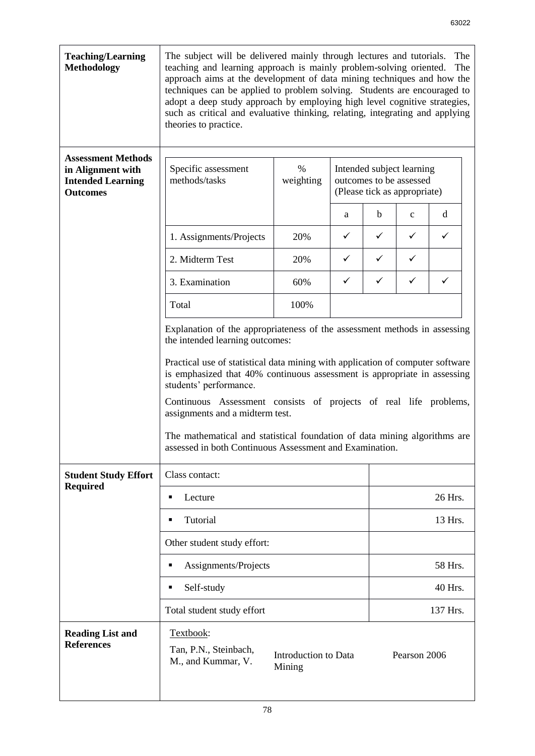| <b>Teaching/Learning</b><br><b>Methodology</b>                                                | The subject will be delivered mainly through lectures and tutorials.<br>The<br>teaching and learning approach is mainly problem-solving oriented.<br>The<br>approach aims at the development of data mining techniques and how the<br>techniques can be applied to problem solving. Students are encouraged to<br>adopt a deep study approach by employing high level cognitive strategies,<br>such as critical and evaluative thinking, relating, integrating and applying<br>theories to practice.                                                 |                                |   |                                                                                      |              |              |  |
|-----------------------------------------------------------------------------------------------|------------------------------------------------------------------------------------------------------------------------------------------------------------------------------------------------------------------------------------------------------------------------------------------------------------------------------------------------------------------------------------------------------------------------------------------------------------------------------------------------------------------------------------------------------|--------------------------------|---|--------------------------------------------------------------------------------------|--------------|--------------|--|
| <b>Assessment Methods</b><br>in Alignment with<br><b>Intended Learning</b><br><b>Outcomes</b> | Specific assessment<br>methods/tasks                                                                                                                                                                                                                                                                                                                                                                                                                                                                                                                 | %<br>weighting                 |   | Intended subject learning<br>outcomes to be assessed<br>(Please tick as appropriate) |              |              |  |
|                                                                                               |                                                                                                                                                                                                                                                                                                                                                                                                                                                                                                                                                      |                                | a | b                                                                                    | $\mathbf c$  | d            |  |
|                                                                                               | 1. Assignments/Projects                                                                                                                                                                                                                                                                                                                                                                                                                                                                                                                              | 20%                            | ✓ | $\checkmark$                                                                         | ✓            | ✓            |  |
|                                                                                               | 2. Midterm Test                                                                                                                                                                                                                                                                                                                                                                                                                                                                                                                                      | 20%                            | ✓ | $\checkmark$                                                                         | ✓            |              |  |
|                                                                                               | 3. Examination                                                                                                                                                                                                                                                                                                                                                                                                                                                                                                                                       | 60%                            | ✓ | $\checkmark$                                                                         | ✓            | $\checkmark$ |  |
|                                                                                               | Total                                                                                                                                                                                                                                                                                                                                                                                                                                                                                                                                                | 100%                           |   |                                                                                      |              |              |  |
|                                                                                               | Explanation of the appropriateness of the assessment methods in assessing<br>the intended learning outcomes:<br>Practical use of statistical data mining with application of computer software<br>is emphasized that 40% continuous assessment is appropriate in assessing<br>students' performance.<br>Continuous Assessment consists of projects of real life problems,<br>assignments and a midterm test.<br>The mathematical and statistical foundation of data mining algorithms are<br>assessed in both Continuous Assessment and Examination. |                                |   |                                                                                      |              |              |  |
| <b>Student Study Effort</b><br><b>Required</b>                                                | Class contact:                                                                                                                                                                                                                                                                                                                                                                                                                                                                                                                                       |                                |   |                                                                                      |              |              |  |
|                                                                                               | Lecture<br>٠                                                                                                                                                                                                                                                                                                                                                                                                                                                                                                                                         |                                |   |                                                                                      | 26 Hrs.      |              |  |
|                                                                                               | Tutorial<br>$\blacksquare$                                                                                                                                                                                                                                                                                                                                                                                                                                                                                                                           |                                |   | 13 Hrs.                                                                              |              |              |  |
|                                                                                               | Other student study effort:                                                                                                                                                                                                                                                                                                                                                                                                                                                                                                                          |                                |   |                                                                                      |              |              |  |
|                                                                                               | Assignments/Projects                                                                                                                                                                                                                                                                                                                                                                                                                                                                                                                                 |                                |   | 58 Hrs.                                                                              |              |              |  |
|                                                                                               | Self-study<br>٠                                                                                                                                                                                                                                                                                                                                                                                                                                                                                                                                      |                                |   | 40 Hrs.                                                                              |              |              |  |
|                                                                                               | Total student study effort                                                                                                                                                                                                                                                                                                                                                                                                                                                                                                                           |                                |   |                                                                                      |              | 137 Hrs.     |  |
| <b>Reading List and</b><br><b>References</b>                                                  | Textbook:<br>Tan, P.N., Steinbach,<br>M., and Kummar, V.                                                                                                                                                                                                                                                                                                                                                                                                                                                                                             | Introduction to Data<br>Mining |   |                                                                                      | Pearson 2006 |              |  |